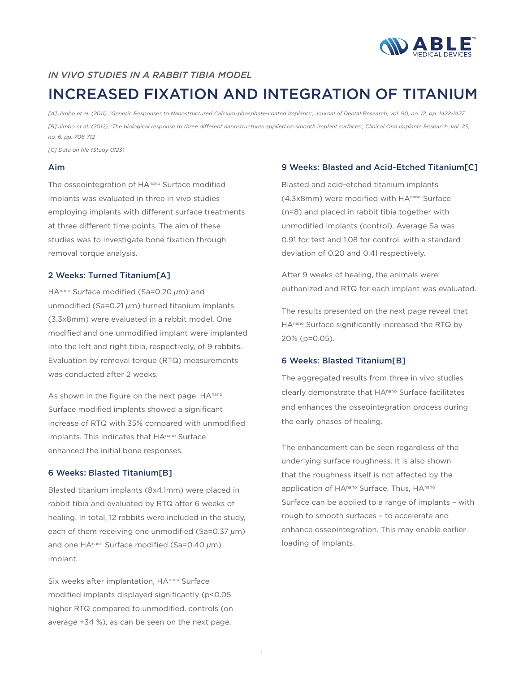

## *IN VIVO STUDIES IN A RABBIT TIBIA MODEL*

# INCREASED FIXATION AND INTEGRATION OF TITANIUM

*[A] Jimbo et al. (2011), 'Genetic Responses to Nanostructured Calcium-phosphate-coated Implants', Journal of Dental Research, vol. 90, no. 12, pp. 1422-1427 [B] Jimbo et al. (2012), 'The biological response to three different nanostructures applied on smooth implant surfaces', Clinical Oral Implants Research, vol. 23, no. 6, pp. 706-712*

*[C] Data on file (Study 0123)*

#### Aim

The osseointegration of HA<sup>nano</sup> Surface modified implants was evaluated in three in vivo studies employing implants with different surface treatments at three different time points. The aim of these studies was to investigate bone fixation through removal torque analysis.

#### 2 Weeks: Turned Titanium[A]

HAnano Surface modified (Sa=0.20  $\mu$ m) and unmodified (Sa=0.21 $\mu$ m) turned titanium implants (3.3x8mm) were evaluated in a rabbit model. One modified and one unmodified implant were implanted into the left and right tibia, respectively, of 9 rabbits. Evaluation by removal torque (RTQ) measurements was conducted after 2 weeks.

As shown in the figure on the next page, HAnano Surface modified implants showed a significant increase of RTQ with 35% compared with unmodified implants. This indicates that HA<sup>nano</sup> Surface enhanced the initial bone responses.

#### 6 Weeks: Blasted Titanium[B]

Blasted titanium implants (8x4.1mm) were placed in rabbit tibia and evaluated by RTQ after 6 weeks of healing. In total, 12 rabbits were included in the study, each of them receiving one unmodified (Sa=0.37  $\mu$ m) and one  $HA^{nano}$  Surface modified (Sa=0.40  $\mu$ m) implant.

Six weeks after implantation, HA<sup>nano</sup> Surface modified implants displayed significantly (p<0.05 higher RTQ compared to unmodified. controls (on average +34 %), as can be seen on the next page.

### 9 Weeks: Blasted and Acid-Etched Titanium[C]

Blasted and acid-etched titanium implants (4.3x8mm) were modified with HAnano Surface (n=8) and placed in rabbit tibia together with unmodified implants (control). Average Sa was 0.91 for test and 1.08 for control, with a standard deviation of 0.20 and 0.41 respectively.

After 9 weeks of healing, the animals were euthanized and RTQ for each implant was evaluated.

The results presented on the next page reveal that HAnano Surface significantly increased the RTQ by 20% (p=0.05).

#### 6 Weeks: Blasted Titanium[B]

The aggregated results from three in vivo studies clearly demonstrate that HAnano Surface facilitates and enhances the osseointegration process during the early phases of healing.

The enhancement can be seen regardless of the underlying surface roughness. It is also shown that the roughness itself is not affected by the application of HAnano Surface. Thus, HAnano Surface can be applied to a range of implants – with rough to smooth surfaces – to accelerate and enhance osseointegration. This may enable earlier loading of implants.